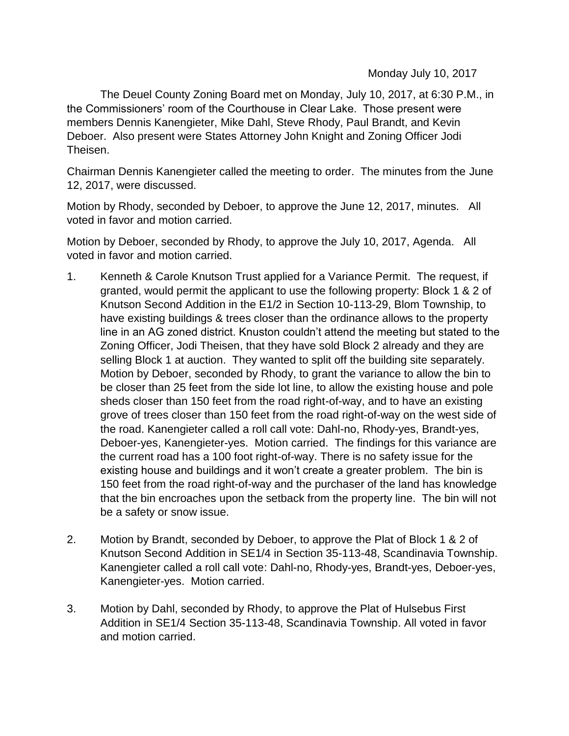Monday July 10, 2017

The Deuel County Zoning Board met on Monday, July 10, 2017, at 6:30 P.M., in the Commissioners' room of the Courthouse in Clear Lake. Those present were members Dennis Kanengieter, Mike Dahl, Steve Rhody, Paul Brandt, and Kevin Deboer. Also present were States Attorney John Knight and Zoning Officer Jodi Theisen.

Chairman Dennis Kanengieter called the meeting to order. The minutes from the June 12, 2017, were discussed.

Motion by Rhody, seconded by Deboer, to approve the June 12, 2017, minutes. All voted in favor and motion carried.

Motion by Deboer, seconded by Rhody, to approve the July 10, 2017, Agenda. All voted in favor and motion carried.

- 1. Kenneth & Carole Knutson Trust applied for a Variance Permit. The request, if granted, would permit the applicant to use the following property: Block 1 & 2 of Knutson Second Addition in the E1/2 in Section 10-113-29, Blom Township, to have existing buildings & trees closer than the ordinance allows to the property line in an AG zoned district. Knuston couldn't attend the meeting but stated to the Zoning Officer, Jodi Theisen, that they have sold Block 2 already and they are selling Block 1 at auction. They wanted to split off the building site separately. Motion by Deboer, seconded by Rhody, to grant the variance to allow the bin to be closer than 25 feet from the side lot line, to allow the existing house and pole sheds closer than 150 feet from the road right-of-way, and to have an existing grove of trees closer than 150 feet from the road right-of-way on the west side of the road. Kanengieter called a roll call vote: Dahl-no, Rhody-yes, Brandt-yes, Deboer-yes, Kanengieter-yes. Motion carried. The findings for this variance are the current road has a 100 foot right-of-way. There is no safety issue for the existing house and buildings and it won't create a greater problem. The bin is 150 feet from the road right-of-way and the purchaser of the land has knowledge that the bin encroaches upon the setback from the property line. The bin will not be a safety or snow issue.
- 2. Motion by Brandt, seconded by Deboer, to approve the Plat of Block 1 & 2 of Knutson Second Addition in SE1/4 in Section 35-113-48, Scandinavia Township. Kanengieter called a roll call vote: Dahl-no, Rhody-yes, Brandt-yes, Deboer-yes, Kanengieter-yes. Motion carried.
- 3. Motion by Dahl, seconded by Rhody, to approve the Plat of Hulsebus First Addition in SE1/4 Section 35-113-48, Scandinavia Township. All voted in favor and motion carried.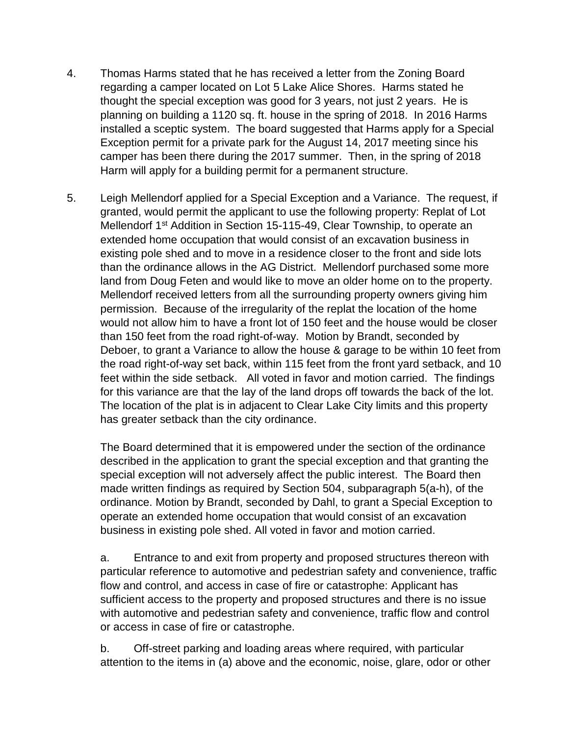- 4. Thomas Harms stated that he has received a letter from the Zoning Board regarding a camper located on Lot 5 Lake Alice Shores. Harms stated he thought the special exception was good for 3 years, not just 2 years. He is planning on building a 1120 sq. ft. house in the spring of 2018. In 2016 Harms installed a sceptic system. The board suggested that Harms apply for a Special Exception permit for a private park for the August 14, 2017 meeting since his camper has been there during the 2017 summer. Then, in the spring of 2018 Harm will apply for a building permit for a permanent structure.
- 5. Leigh Mellendorf applied for a Special Exception and a Variance. The request, if granted, would permit the applicant to use the following property: Replat of Lot Mellendorf 1<sup>st</sup> Addition in Section 15-115-49, Clear Township, to operate an extended home occupation that would consist of an excavation business in existing pole shed and to move in a residence closer to the front and side lots than the ordinance allows in the AG District. Mellendorf purchased some more land from Doug Feten and would like to move an older home on to the property. Mellendorf received letters from all the surrounding property owners giving him permission. Because of the irregularity of the replat the location of the home would not allow him to have a front lot of 150 feet and the house would be closer than 150 feet from the road right-of-way. Motion by Brandt, seconded by Deboer, to grant a Variance to allow the house & garage to be within 10 feet from the road right-of-way set back, within 115 feet from the front yard setback, and 10 feet within the side setback. All voted in favor and motion carried. The findings for this variance are that the lay of the land drops off towards the back of the lot. The location of the plat is in adjacent to Clear Lake City limits and this property has greater setback than the city ordinance.

The Board determined that it is empowered under the section of the ordinance described in the application to grant the special exception and that granting the special exception will not adversely affect the public interest. The Board then made written findings as required by Section 504, subparagraph 5(a-h), of the ordinance. Motion by Brandt, seconded by Dahl, to grant a Special Exception to operate an extended home occupation that would consist of an excavation business in existing pole shed. All voted in favor and motion carried.

a. Entrance to and exit from property and proposed structures thereon with particular reference to automotive and pedestrian safety and convenience, traffic flow and control, and access in case of fire or catastrophe: Applicant has sufficient access to the property and proposed structures and there is no issue with automotive and pedestrian safety and convenience, traffic flow and control or access in case of fire or catastrophe.

b. Off-street parking and loading areas where required, with particular attention to the items in (a) above and the economic, noise, glare, odor or other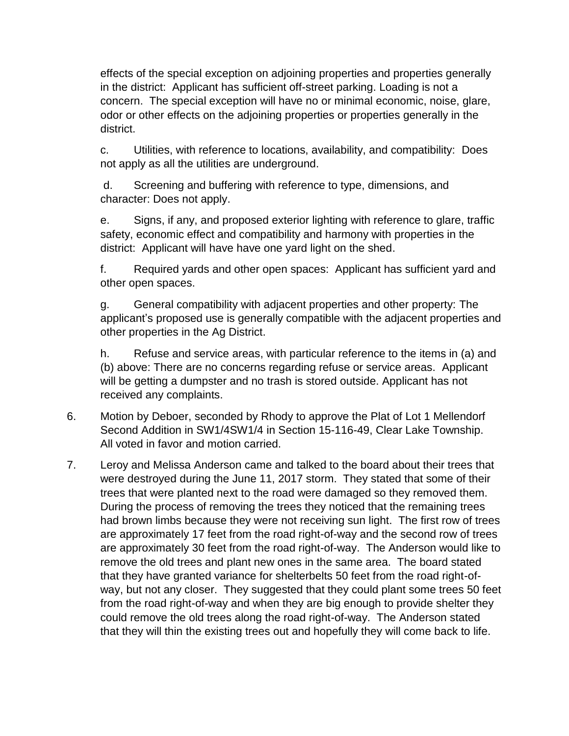effects of the special exception on adjoining properties and properties generally in the district: Applicant has sufficient off-street parking. Loading is not a concern. The special exception will have no or minimal economic, noise, glare, odor or other effects on the adjoining properties or properties generally in the district.

c. Utilities, with reference to locations, availability, and compatibility: Does not apply as all the utilities are underground.

d. Screening and buffering with reference to type, dimensions, and character: Does not apply.

e. Signs, if any, and proposed exterior lighting with reference to glare, traffic safety, economic effect and compatibility and harmony with properties in the district: Applicant will have have one yard light on the shed.

f. Required yards and other open spaces: Applicant has sufficient yard and other open spaces.

g. General compatibility with adjacent properties and other property: The applicant's proposed use is generally compatible with the adjacent properties and other properties in the Ag District.

h. Refuse and service areas, with particular reference to the items in (a) and (b) above: There are no concerns regarding refuse or service areas. Applicant will be getting a dumpster and no trash is stored outside. Applicant has not received any complaints.

- 6. Motion by Deboer, seconded by Rhody to approve the Plat of Lot 1 Mellendorf Second Addition in SW1/4SW1/4 in Section 15-116-49, Clear Lake Township. All voted in favor and motion carried.
- 7. Leroy and Melissa Anderson came and talked to the board about their trees that were destroyed during the June 11, 2017 storm. They stated that some of their trees that were planted next to the road were damaged so they removed them. During the process of removing the trees they noticed that the remaining trees had brown limbs because they were not receiving sun light. The first row of trees are approximately 17 feet from the road right-of-way and the second row of trees are approximately 30 feet from the road right-of-way. The Anderson would like to remove the old trees and plant new ones in the same area. The board stated that they have granted variance for shelterbelts 50 feet from the road right-ofway, but not any closer. They suggested that they could plant some trees 50 feet from the road right-of-way and when they are big enough to provide shelter they could remove the old trees along the road right-of-way. The Anderson stated that they will thin the existing trees out and hopefully they will come back to life.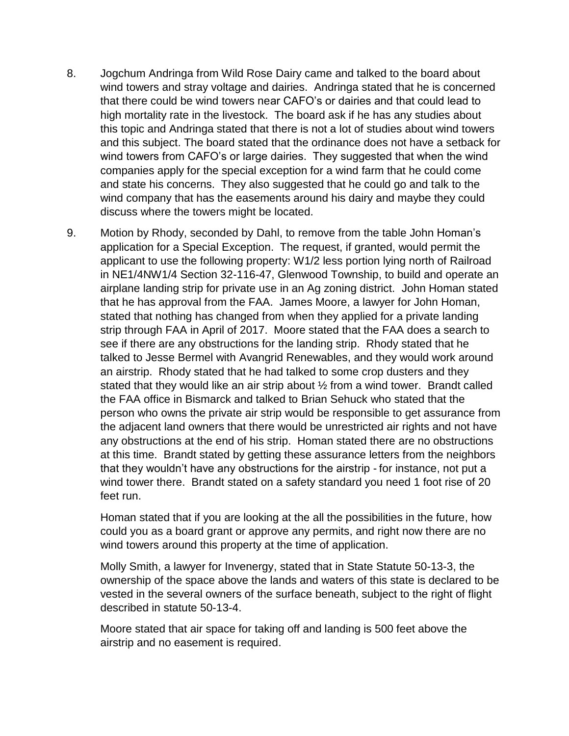- 8. Jogchum Andringa from Wild Rose Dairy came and talked to the board about wind towers and stray voltage and dairies. Andringa stated that he is concerned that there could be wind towers near CAFO's or dairies and that could lead to high mortality rate in the livestock. The board ask if he has any studies about this topic and Andringa stated that there is not a lot of studies about wind towers and this subject. The board stated that the ordinance does not have a setback for wind towers from CAFO's or large dairies. They suggested that when the wind companies apply for the special exception for a wind farm that he could come and state his concerns. They also suggested that he could go and talk to the wind company that has the easements around his dairy and maybe they could discuss where the towers might be located.
- 9. Motion by Rhody, seconded by Dahl, to remove from the table John Homan's application for a Special Exception. The request, if granted, would permit the applicant to use the following property: W1/2 less portion lying north of Railroad in NE1/4NW1/4 Section 32-116-47, Glenwood Township, to build and operate an airplane landing strip for private use in an Ag zoning district. John Homan stated that he has approval from the FAA. James Moore, a lawyer for John Homan, stated that nothing has changed from when they applied for a private landing strip through FAA in April of 2017. Moore stated that the FAA does a search to see if there are any obstructions for the landing strip. Rhody stated that he talked to Jesse Bermel with Avangrid Renewables, and they would work around an airstrip. Rhody stated that he had talked to some crop dusters and they stated that they would like an air strip about ½ from a wind tower. Brandt called the FAA office in Bismarck and talked to Brian Sehuck who stated that the person who owns the private air strip would be responsible to get assurance from the adjacent land owners that there would be unrestricted air rights and not have any obstructions at the end of his strip. Homan stated there are no obstructions at this time. Brandt stated by getting these assurance letters from the neighbors that they wouldn't have any obstructions for the airstrip - for instance, not put a wind tower there. Brandt stated on a safety standard you need 1 foot rise of 20 feet run.

Homan stated that if you are looking at the all the possibilities in the future, how could you as a board grant or approve any permits, and right now there are no wind towers around this property at the time of application.

Molly Smith, a lawyer for Invenergy, stated that in State Statute 50-13-3, the ownership of the space above the lands and waters of this state is declared to be vested in the several owners of the surface beneath, subject to the right of flight described in statute 50-13-4.

Moore stated that air space for taking off and landing is 500 feet above the airstrip and no easement is required.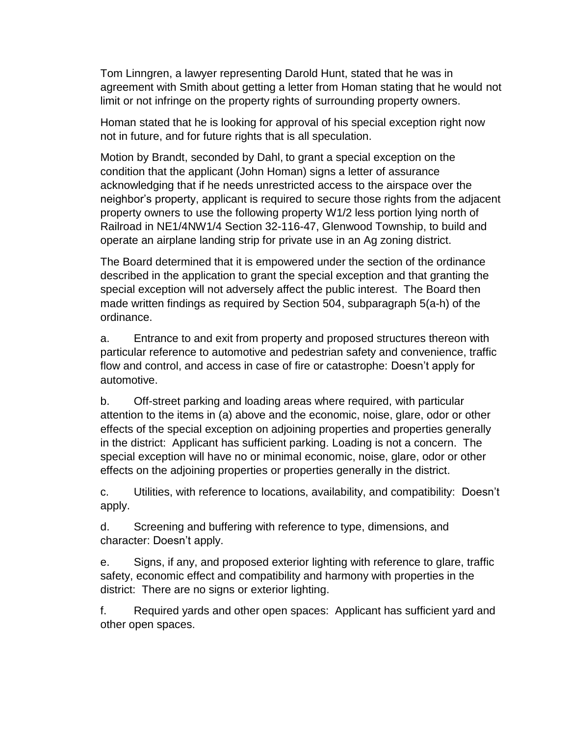Tom Linngren, a lawyer representing Darold Hunt, stated that he was in agreement with Smith about getting a letter from Homan stating that he would not limit or not infringe on the property rights of surrounding property owners.

Homan stated that he is looking for approval of his special exception right now not in future, and for future rights that is all speculation.

Motion by Brandt, seconded by Dahl, to grant a special exception on the condition that the applicant (John Homan) signs a letter of assurance acknowledging that if he needs unrestricted access to the airspace over the neighbor's property, applicant is required to secure those rights from the adjacent property owners to use the following property W1/2 less portion lying north of Railroad in NE1/4NW1/4 Section 32-116-47, Glenwood Township, to build and operate an airplane landing strip for private use in an Ag zoning district.

The Board determined that it is empowered under the section of the ordinance described in the application to grant the special exception and that granting the special exception will not adversely affect the public interest. The Board then made written findings as required by Section 504, subparagraph 5(a-h) of the ordinance.

a. Entrance to and exit from property and proposed structures thereon with particular reference to automotive and pedestrian safety and convenience, traffic flow and control, and access in case of fire or catastrophe: Doesn't apply for automotive.

b. Off-street parking and loading areas where required, with particular attention to the items in (a) above and the economic, noise, glare, odor or other effects of the special exception on adjoining properties and properties generally in the district: Applicant has sufficient parking. Loading is not a concern. The special exception will have no or minimal economic, noise, glare, odor or other effects on the adjoining properties or properties generally in the district.

c. Utilities, with reference to locations, availability, and compatibility: Doesn't apply.

d. Screening and buffering with reference to type, dimensions, and character: Doesn't apply.

e. Signs, if any, and proposed exterior lighting with reference to glare, traffic safety, economic effect and compatibility and harmony with properties in the district: There are no signs or exterior lighting.

f. Required yards and other open spaces: Applicant has sufficient yard and other open spaces.